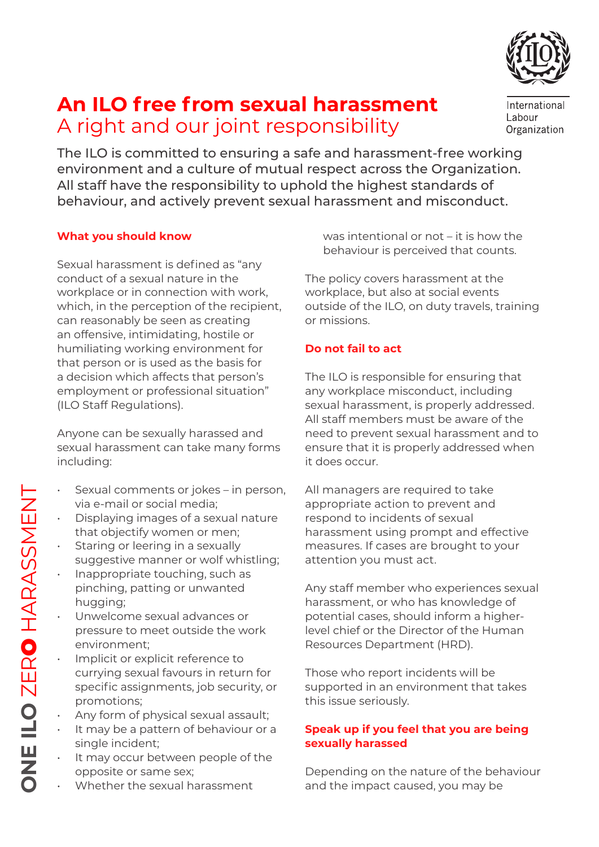

# **An ILO free from sexual harassment** A right and our joint responsibility

International Labour Organization

The ILO is committed to ensuring a safe and harassment-free working environment and a culture of mutual respect across the Organization. All staff have the responsibility to uphold the highest standards of behaviour, and actively prevent sexual harassment and misconduct.

# **What you should know**

Sexual harassment is defined as "any conduct of a sexual nature in the workplace or in connection with work, which, in the perception of the recipient, can reasonably be seen as creating an offensive, intimidating, hostile or humiliating working environment for that person or is used as the basis for a decision which affects that person's employment or professional situation" (ILO Staff Regulations).

Anyone can be sexually harassed and sexual harassment can take many forms including:

- Sexual comments or jokes in person, via e-mail or social media;
- Displaying images of a sexual nature that objectify women or men;
- Staring or leering in a sexually suggestive manner or wolf whistling;
- Inappropriate touching, such as pinching, patting or unwanted hugging;
- Unwelcome sexual advances or pressure to meet outside the work environment;
- Implicit or explicit reference to currying sexual favours in return for specific assignments, job security, or promotions;
- Any form of physical sexual assault;
- It may be a pattern of behaviour or a single incident;
- It may occur between people of the opposite or same sex;
- Whether the sexual harassment

was intentional or not – it is how the behaviour is perceived that counts.

The policy covers harassment at the workplace, but also at social events outside of the ILO, on duty travels, training or missions.

# **Do not fail to act**

The ILO is responsible for ensuring that any workplace misconduct, including sexual harassment, is properly addressed. All staff members must be aware of the need to prevent sexual harassment and to ensure that it is properly addressed when it does occur.

All managers are required to take appropriate action to prevent and respond to incidents of sexual harassment using prompt and effective measures. If cases are brought to your attention you must act.

Any staff member who experiences sexual harassment, or who has knowledge of potential cases, should inform a higherlevel chief or the Director of the Human Resources Department (HRD).

Those who report incidents will be supported in an environment that takes this issue seriously.

# **Speak up if you feel that you are being sexually harassed**

Depending on the nature of the behaviour and the impact caused, you may be